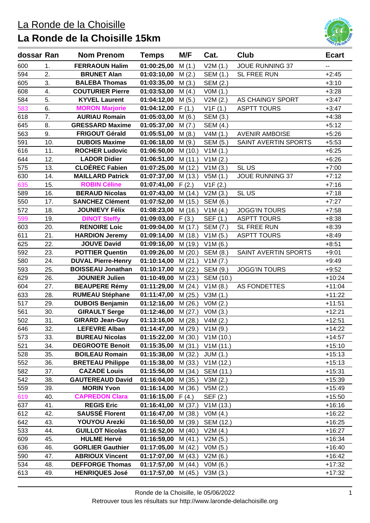### La Ronde de la Choisille

# **La Ronde de la Choisille 15km**



| dossar Ran |     | <b>Nom Prenom</b>         | <b>Temps</b> | M/F     | Cat.            | <b>Club</b>            | <b>Ecart</b> |
|------------|-----|---------------------------|--------------|---------|-----------------|------------------------|--------------|
| 600        | 1.  | <b>FERRAOUN Halim</b>     | 01:00:25,00  | M(1.)   | V2M(1.)         | <b>JOUE RUNNING 37</b> |              |
| 594        | 2.  | <b>BRUNET Alan</b>        | 01:03:10,00  | M(2.)   | SEM (1.)        | <b>SL FREE RUN</b>     | $+2:45$      |
| 605        | 3.  | <b>BALEBA Thomas</b>      | 01:03:35,00  | M(3.)   | SEM (2.)        |                        | $+3:10$      |
| 608        | 4.  | <b>COUTURIER Pierre</b>   | 01:03:53,00  | M(4.)   | VOM(1.)         |                        | $+3:28$      |
| 584        | 5.  | <b>KYVEL Laurent</b>      | 01:04:12,00  | M(5.)   | V2M(2.)         | AS CHAINGY SPORT       | $+3:47$      |
| 583        | 6.  | <b>MORON Marjorie</b>     | 01:04:12,00  | F(1.)   | V1F(1.)         | <b>ASPTT TOURS</b>     | $+3:47$      |
| 618        | 7.  | <b>AURIAU Romain</b>      | 01:05:03,00  | M(6.)   | SEM (3.)        |                        | $+4:38$      |
| 645        | 8.  | <b>GRESSARD Maxime</b>    | 01:05:37,00  | M(7.)   | <b>SEM (4.)</b> |                        | $+5:12$      |
| 563        | 9.  | <b>FRIGOUT Gérald</b>     | 01:05:51,00  | M(8.)   | V4M(1.)         | <b>AVENIR AMBOISE</b>  | $+5:26$      |
| 591        | 10. | <b>DUBOIS Maxime</b>      | 01:06:18,00  | M(9.)   | SEM (5.)        | SAINT AVERTIN SPORTS   | $+5:53$      |
| 616        | 11. | <b>ROCHER Ludovic</b>     | 01:06:50,00  | M(10.)  | V1M(1.)         |                        | $+6:25$      |
| 644        | 12. | <b>LADOR Didier</b>       | 01:06:51,00  | M(11.)  | V1M(2.)         |                        | $+6:26$      |
| 575        | 13. | <b>CLOÉREC Fabien</b>     | 01:07:25,00  | M(12.)  | V1M(3.)         | SLUS                   | $+7:00$      |
| 630        | 14. | <b>MAILLARD Patrick</b>   | 01:07:37,00  | M(13.)  | V5M(1.)         | <b>JOUE RUNNING 37</b> | $+7:12$      |
| 635        | 15. | <b>ROBIN Céline</b>       | 01:07:41,00  | F(2.)   | V1F(2.)         |                        | $+7:16$      |
| 589        | 16. | <b>BERAUD Nicolas</b>     | 01:07:43,00  | M(14.)  | V2M(3.)         | SLUS                   | $+7:18$      |
| 550        | 17. | <b>SANCHEZ Clément</b>    | 01:07:52,00  | M (15.) | SEM (6.)        |                        | $+7:27$      |
| 572        | 18. | <b>JOUNIEVY Félix</b>     | 01:08:23,00  | M (16.) | V1M(4.)         | <b>JOGG'IN TOURS</b>   | $+7:58$      |
| 599        | 19. | <b>DINOT Steffy</b>       | 01:09:03,00  | F(3.)   | SEF (1.)        | <b>ASPTT TOURS</b>     | $+8:38$      |
| 603        | 20. | <b>RENOIRE Loic</b>       | 01:09:04,00  | M(17.)  | SEM (7.)        | SL FREE RUN            | $+8:39$      |
| 611        | 21. | <b>HARDION Jeremy</b>     | 01:09:14,00  | M (18.) | V1M(5.)         | <b>ASPTT TOURS</b>     | $+8:49$      |
| 625        | 22. | <b>JOUVE David</b>        | 01:09:16,00  | M (19.) | V1M(6.)         |                        | $+8:51$      |
| 592        | 23. | <b>POTTIER Quentin</b>    | 01:09:26,00  | M(20.)  | SEM (8.)        | SAINT AVERTIN SPORTS   | $+9:01$      |
| 580        | 24. | <b>DUVAL Pierre-Henry</b> | 01:10:14,00  | M(21.)  | V1M (7.)        |                        | $+9:49$      |
| 593        | 25. | <b>BOISSEAU Jonathan</b>  | 01:10:17,00  | M(22.)  | SEM (9.)        | <b>JOGG'IN TOURS</b>   | $+9:52$      |
| 629        | 26. | <b>JOUNIER Julien</b>     | 01:10:49,00  | M(23.)  | SEM (10.)       |                        | $+10:24$     |
| 604        | 27. | <b>BEAUPERE Rémy</b>      | 01:11:29,00  | M(24.)  | V1M(8.)         | <b>AS FONDETTES</b>    | $+11:04$     |
| 633        | 28. | <b>RUMEAU Stéphane</b>    | 01:11:47,00  | M(25.)  | V3M(1.)         |                        | $+11:22$     |
| 517        | 29. | <b>DUBOIS Benjamin</b>    | 01:12:16,00  | M(26.)  | VOM(2.)         |                        | $+11:51$     |
| 561        | 30. | <b>GIRAULT Serge</b>      | 01:12:46,00  | M(27.)  | VOM(3.)         |                        | $+12:21$     |
| 502        | 31. | <b>GIRARD Jean-Guy</b>    | 01:13:16,00  | M(28.)  | V4M(2.)         |                        | $+12:51$     |
| 646        | 32. | <b>LEFEVRE Alban</b>      | 01:14:47,00  | M(29.)  | V1M(9.)         |                        | +14:22       |
| 573        | 33. | <b>BUREAU Nicolas</b>     | 01:15:22,00  | M(30.)  | V1M(10.)        |                        | $+14:57$     |
| 521        | 34. | <b>DEGROOTE Benoit</b>    | 01:15:35,00  | M(31.)  | V1M(11.)        |                        | $+15:10$     |
| 528        | 35. | <b>BOILEAU Romain</b>     | 01:15:38,00  | M(32.)  | <b>JUM (1.)</b> |                        | $+15:13$     |
| 552        | 36. | <b>BRETEAU Philippe</b>   | 01:15:38,00  | M(33.)  | V1M(12.)        |                        | $+15:13$     |
| 582        | 37. | <b>CAZADE Louis</b>       | 01:15:56,00  | M(34.)  | SEM (11.)       |                        | $+15:31$     |
| 542        | 38. | <b>GAUTEREAUD David</b>   | 01:16:04,00  | M(35.)  | V3M(2.)         |                        | $+15:39$     |
| 559        | 39. | <b>MORIN Yvon</b>         | 01:16:14,00  | M(36.)  | V5M(2.)         |                        | $+15:49$     |
| 619        | 40. | <b>CAPREDON Clara</b>     | 01:16:15,00  | F(4.)   | SEF (2.)        |                        | $+15:50$     |
| 637        | 41. | <b>REGIS Eric</b>         | 01:16:41,00  | M(37.)  | V1M(13.)        |                        | $+16:16$     |
| 612        | 42. | <b>SAUSSÉ Florent</b>     | 01:16:47,00  | M (38.) | VOM(4.)         |                        | $+16:22$     |
| 642        | 43. | <b>YOUYOU Arezki</b>      | 01:16:50,00  | M (39.) | SEM (12.)       |                        | $+16:25$     |
| 533        | 44. | <b>GUILLOT Nicolas</b>    | 01:16:52,00  | M(40.)  | V2M(4.)         |                        | $+16:27$     |
| 609        | 45. | <b>HULME Hervé</b>        | 01:16:59,00  | M(41.)  | V2M(5.)         |                        | $+16:34$     |
| 636        | 46. | <b>GORLIER Gauthier</b>   | 01:17:05,00  | M(42.)  | VOM(5.)         |                        | $+16:40$     |
| 590        | 47. | <b>ABRIOUX Vincent</b>    | 01:17:07,00  | M(43.)  | V2M(6.)         |                        | $+16:42$     |
| 534        | 48. | <b>DEFFORGE Thomas</b>    | 01:17:57,00  | M(44)   | V0M (6.)        |                        | $+17:32$     |
| 613        | 49. | <b>HENRIQUES José</b>     | 01:17:57,00  | M(45.)  | V3M(3.)         |                        | $+17:32$     |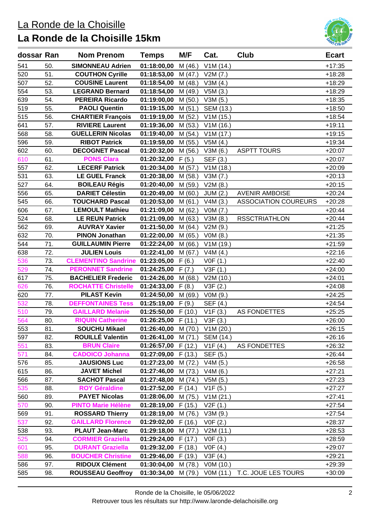### La Ronde de la Choisille

# **La Ronde de la Choisille 15km**



| dossar Ran |     | <b>Nom Prenom</b>                      | <b>Temps</b>                  | M/F     | Cat.            | Club                        | <b>Ecart</b> |
|------------|-----|----------------------------------------|-------------------------------|---------|-----------------|-----------------------------|--------------|
| 541        | 50. | <b>SIMONNEAU Adrien</b>                | 01:18:00,00                   | M(46.)  | V1M(14.)        |                             | $+17:35$     |
| 520        | 51. | <b>COUTHON Cyrille</b>                 | 01:18:53,00                   | M(47.)  | V2M(7.)         |                             | $+18:28$     |
| 507        | 52. | <b>COUSINE Laurent</b>                 | 01:18:54,00                   | M(48.)  | V3M(4.)         |                             | $+18:29$     |
| 554        | 53. | <b>LEGRAND Bernard</b>                 | 01:18:54,00                   | M (49.) | V5M(3.)         |                             | $+18:29$     |
| 639        | 54. | <b>PEREIRA Ricardo</b>                 | 01:19:00,00                   | M(50.)  | V3M(5.)         |                             | $+18:35$     |
| 519        | 55. | <b>PAOLI Quentin</b>                   | 01:19:15,00                   | M(51.)  | SEM (13.)       |                             | $+18:50$     |
| 515        | 56. | <b>CHARTIER François</b>               | 01:19:19,00                   | M(52.)  | V1M(15.)        |                             | $+18:54$     |
| 641        | 57. | <b>RIVIERE Laurent</b>                 | 01:19:36,00                   | M(53.)  | V1M(16.)        |                             | $+19:11$     |
| 568        | 58. | <b>GUELLERIN Nicolas</b>               | 01:19:40,00                   | M(54.)  | V1M(17.)        |                             | $+19:15$     |
| 596        | 59. | <b>RIBOT Patrick</b>                   | 01:19:59,00                   | M (55.) | V5M(4.)         |                             | $+19:34$     |
| 602        | 60. | <b>DECOGNET Pascal</b>                 | 01:20:32,00                   | M(56.)  | V3M(6.)         | <b>ASPTT TOURS</b>          | $+20:07$     |
| 610        | 61. | <b>PONS Clara</b>                      | 01:20:32,00                   | F(5.)   | SEF (3.)        |                             | $+20:07$     |
| 557        | 62. | <b>LECERF Patrick</b>                  | 01:20:34,00                   | M(57.)  | V1M(18.)        |                             | $+20:09$     |
| 531        | 63. | <b>LE GUEL Franck</b>                  | 01:20:38,00                   | M (58.) | V3M(7.)         |                             | $+20:13$     |
| 527        | 64. | <b>BOILEAU Régis</b>                   | 01:20:40,00                   | M (59.) | V2M(8.)         |                             | $+20:15$     |
| 556        | 65. | <b>DARIET Célestin</b>                 | 01:20:49,00                   | M(60.)  | <b>JUM (2.)</b> | <b>AVENIR AMBOISE</b>       | $+20:24$     |
| 545        | 66. | <b>TOUCHARD Pascal</b>                 | 01:20:53,00                   | M(61.)  | V4M(3.)         | <b>ASSOCIATION COUREURS</b> | $+20:28$     |
| 606        | 67. | <b>LEMOULT Mathieu</b>                 | 01:21:09,00                   | M(62.)  | VOM(7.)         |                             | $+20:44$     |
| 524        | 68. | <b>LE REUN Patrick</b>                 | 01:21:09,00                   | M(63.)  | V3M(8.)         | <b>RSSCTRIATHLON</b>        | $+20:44$     |
| 562        | 69. | <b>AUVRAY Xavier</b>                   | 01:21:50,00                   | M(64.)  | V2M (9.)        |                             | $+21:25$     |
| 632        | 70. | <b>PINON Jonathan</b>                  | 01:22:00,00                   | M(65.)  | VOM(8.)         |                             | $+21:35$     |
| 544        | 71. | <b>GUILLAUMIN Pierre</b>               | 01:22:24,00                   | M(66.)  | V1M(19.)        |                             | $+21:59$     |
| 638        | 72. | <b>JULIEN Louis</b>                    | 01:22:41,00                   | M(67.)  | V4M(4.)         |                             | $+22:16$     |
| 536        | 73. | <b>CLEMENTINO Sandrine 01:23:05,00</b> |                               | F(6.)   | VOF(1.)         |                             | $+22:40$     |
| 529        | 74. | <b>PERONNET Sandrine</b>               | 01:24:25,00                   | F(7.)   | V3F(1.)         |                             | $+24:00$     |
| 617        | 75. | <b>BACHELIER Frederic</b>              | 01:24:26,00                   | M(68.)  | V2M (10.)       |                             | $+24:01$     |
| 626        | 76. | <b>ROCHATTE Christelle</b>             | 01:24:33,00                   | F(8.)   | V3F(2.)         |                             | $+24:08$     |
| 620        | 77. | <b>PILAST Kevin</b>                    | 01:24:50,00                   | M(69.)  | VOM(9.)         |                             | $+24:25$     |
| 532        | 78. | <b>DEFFONTAINES Tess</b>               | 01:25:19,00                   | F(9.)   | SEF (4.)        |                             | $+24:54$     |
| 510        | 79. | <b>GAILLARD Melanie</b>                | $01:25:50,00$ F (10.)         |         | V1F(3.)         | AS FONDETTES                | $+25:25$     |
| 564        | 80. | <b>RIQUIN Catherine</b>                | $01:26:25,00$ F (11.)         |         | V3F(3.)         |                             | $+26:00$     |
| 553        | 81. | <b>SOUCHU Mikael</b>                   | 01:26:40,00 M (70.) V1M (20.) |         |                 |                             | $+26:15$     |
| 597        | 82. | <b>ROUILLÉ Valentin</b>                | 01:26:41,00                   | M(71.)  | SEM (14.)       |                             | $+26:16$     |
| 551        | 83. | <b>BRUN Claire</b>                     | 01:26:57,00                   | F(12.)  | V1F(4.)         | <b>AS FONDETTES</b>         | $+26:32$     |
| 571        | 84. | <b>CADOICO Johanna</b>                 | 01:27:09,00                   | F(13.)  | SEF (5.)        |                             | $+26:44$     |
| 576        | 85. | <b>JAUSIONS Luc</b>                    | 01:27:23,00                   | M (72.) | V4M(5.)         |                             | $+26:58$     |
| 615        | 86. | <b>JAVET Michel</b>                    | 01:27:46,00                   | M(73.)  | V4M(6.)         |                             | $+27:21$     |
| 566        | 87. | <b>SACHOT Pascal</b>                   | 01:27:48,00                   | M(74.)  | V5M(5.)         |                             | $+27:23$     |
| 535        | 88. | <b>ROY Géraldine</b>                   | 01:27:52,00                   | F(14.)  | V1F(5.)         |                             | $+27:27$     |
| 560        | 89. | <b>PAYET Nicolas</b>                   | 01:28:06,00                   | M(75.)  | V1M (21.)       |                             | $+27:41$     |
| 570        | 90. | <b>PINTO Marie Hélène</b>              | 01:28:19,00                   | F(15.)  | V2F(1.)         |                             | $+27:54$     |
| 569        | 91. | <b>ROSSARD Thierry</b>                 | 01:28:19,00                   | M(76.)  | V3M (9.)        |                             | $+27:54$     |
| 537        | 92. | <b>GAILLARD Florence</b>               | 01:29:02,00                   | F(16.)  | VOF(2.)         |                             | $+28:37$     |
| 538        | 93. | <b>PLAUT Jean-Marc</b>                 | 01:29:18,00                   | M(77.)  | V2M(11.)        |                             | $+28:53$     |
| 525        | 94. | <b>CORMIER Graziella</b>               | 01:29:24,00                   | F(17.)  | VOF(3.)         |                             | $+28:59$     |
| 601        | 95. | <b>DURANT Graziella</b>                | 01:29:32,00                   | F(18.)  | VOF(4.)         |                             | $+29:07$     |
| 588        | 96. | <b>BOUCHER Christine</b>               | 01:29:46,00                   | F(19.)  | V3F(4.)         |                             | $+29:21$     |
| 586        | 97. | <b>RIDOUX Clément</b>                  | 01:30:04,00                   | M (78.) | V0M (10.)       |                             | $+29:39$     |
| 585        | 98. | <b>ROUSSEAU Geoffroy</b>               | 01:30:34,00                   | M (79.) | VOM (11.)       | T.C. JOUE LES TOURS         | $+30:09$     |